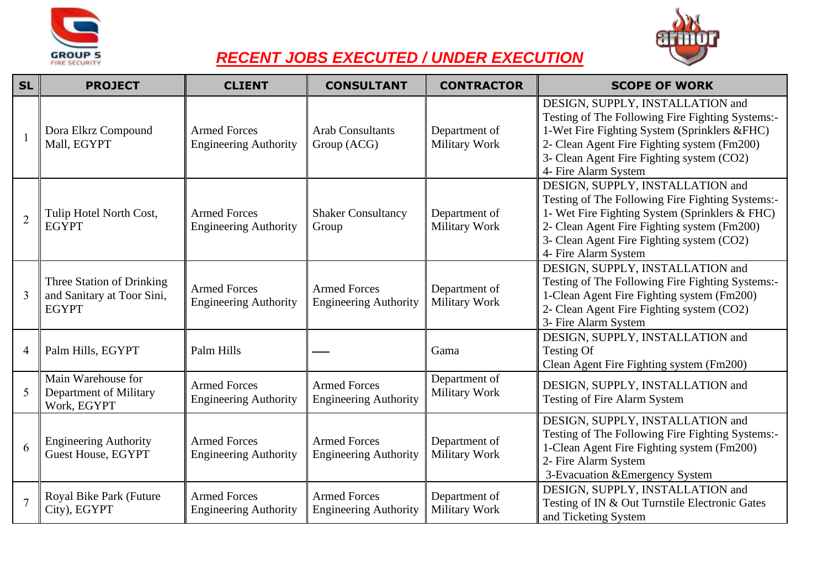



## *RECENT JOBS EXECUTED / UNDER EXECUTION*

| <b>SL</b>                | <b>PROJECT</b>                                                          | <b>CLIENT</b>                                       | <b>CONSULTANT</b>                                   | <b>CONTRACTOR</b>              | <b>SCOPE OF WORK</b>                                                                                                                                                                                                                                       |
|--------------------------|-------------------------------------------------------------------------|-----------------------------------------------------|-----------------------------------------------------|--------------------------------|------------------------------------------------------------------------------------------------------------------------------------------------------------------------------------------------------------------------------------------------------------|
| $\overline{\phantom{0}}$ | Dora Elkrz Compound<br>Mall, EGYPT                                      | <b>Armed Forces</b><br><b>Engineering Authority</b> | <b>Arab Consultants</b><br>Group (ACG)              | Department of<br>Military Work | DESIGN, SUPPLY, INSTALLATION and<br>Testing of The Following Fire Fighting Systems:-<br>1-Wet Fire Fighting System (Sprinklers &FHC)<br>2- Clean Agent Fire Fighting system (Fm200)<br>3- Clean Agent Fire Fighting system (CO2)<br>4- Fire Alarm System   |
| $\overline{2}$           | Tulip Hotel North Cost,<br><b>EGYPT</b>                                 | <b>Armed Forces</b><br><b>Engineering Authority</b> | <b>Shaker Consultancy</b><br>Group                  | Department of<br>Military Work | DESIGN, SUPPLY, INSTALLATION and<br>Testing of The Following Fire Fighting Systems:-<br>1- Wet Fire Fighting System (Sprinklers & FHC)<br>2- Clean Agent Fire Fighting system (Fm200)<br>3- Clean Agent Fire Fighting system (CO2)<br>4- Fire Alarm System |
| $\overline{3}$           | Three Station of Drinking<br>and Sanitary at Toor Sini,<br><b>EGYPT</b> | <b>Armed Forces</b><br><b>Engineering Authority</b> | <b>Armed Forces</b><br><b>Engineering Authority</b> | Department of<br>Military Work | DESIGN, SUPPLY, INSTALLATION and<br>Testing of The Following Fire Fighting Systems:-<br>1-Clean Agent Fire Fighting system (Fm200)<br>2- Clean Agent Fire Fighting system (CO2)<br>3- Fire Alarm System                                                    |
| $\overline{4}$           | Palm Hills, EGYPT                                                       | Palm Hills                                          |                                                     | Gama                           | DESIGN, SUPPLY, INSTALLATION and<br><b>Testing Of</b><br>Clean Agent Fire Fighting system (Fm200)                                                                                                                                                          |
| 5                        | Main Warehouse for<br>Department of Military<br>Work, EGYPT             | <b>Armed Forces</b><br><b>Engineering Authority</b> | <b>Armed Forces</b><br><b>Engineering Authority</b> | Department of<br>Military Work | DESIGN, SUPPLY, INSTALLATION and<br><b>Testing of Fire Alarm System</b>                                                                                                                                                                                    |
| 6                        | <b>Engineering Authority</b><br><b>Guest House, EGYPT</b>               | <b>Armed Forces</b><br><b>Engineering Authority</b> | <b>Armed Forces</b><br><b>Engineering Authority</b> | Department of<br>Military Work | DESIGN, SUPPLY, INSTALLATION and<br>Testing of The Following Fire Fighting Systems:-<br>1-Clean Agent Fire Fighting system (Fm200)<br>2- Fire Alarm System<br>3-Evacuation & Emergency System                                                              |
| $\overline{7}$           | Royal Bike Park (Future<br>City), EGYPT                                 | <b>Armed Forces</b><br><b>Engineering Authority</b> | <b>Armed Forces</b><br><b>Engineering Authority</b> | Department of<br>Military Work | DESIGN, SUPPLY, INSTALLATION and<br>Testing of IN & Out Turnstile Electronic Gates<br>and Ticketing System                                                                                                                                                 |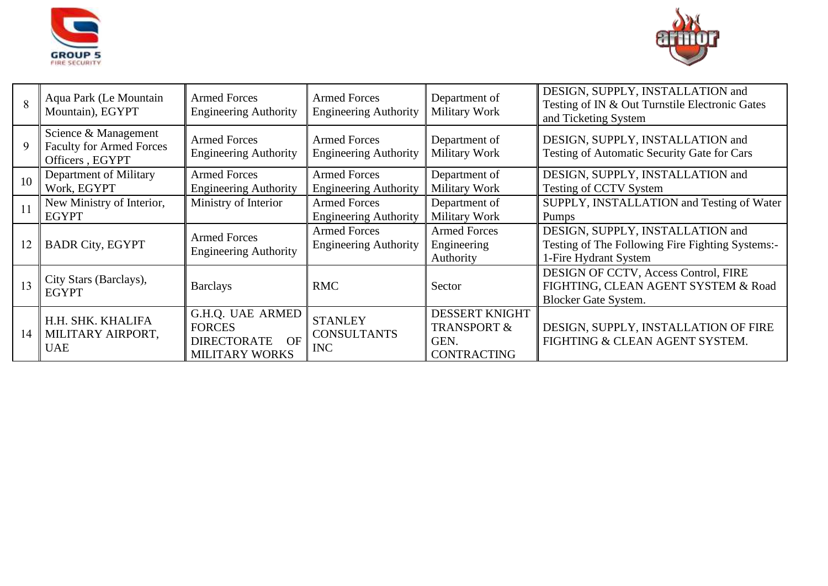



| 8  | Aqua Park (Le Mountain<br>Mountain), EGYPT                                 | <b>Armed Forces</b><br><b>Engineering Authority</b>                                    | <b>Armed Forces</b><br><b>Engineering Authority</b> | Department of<br>Military Work                                                | DESIGN, SUPPLY, INSTALLATION and<br>Testing of IN & Out Turnstile Electronic Gates<br>and Ticketing System    |
|----|----------------------------------------------------------------------------|----------------------------------------------------------------------------------------|-----------------------------------------------------|-------------------------------------------------------------------------------|---------------------------------------------------------------------------------------------------------------|
| 9  | Science & Management<br><b>Faculty for Armed Forces</b><br>Officers, EGYPT | <b>Armed Forces</b><br><b>Engineering Authority</b>                                    | <b>Armed Forces</b><br><b>Engineering Authority</b> | Department of<br>Military Work                                                | DESIGN, SUPPLY, INSTALLATION and<br>Testing of Automatic Security Gate for Cars                               |
| 10 | Department of Military<br>Work, EGYPT                                      | <b>Armed Forces</b><br><b>Engineering Authority</b>                                    | <b>Armed Forces</b><br><b>Engineering Authority</b> | Department of<br>Military Work                                                | DESIGN, SUPPLY, INSTALLATION and<br>Testing of CCTV System                                                    |
|    | New Ministry of Interior,<br><b>EGYPT</b>                                  | Ministry of Interior                                                                   | <b>Armed Forces</b><br><b>Engineering Authority</b> | Department of<br>Military Work                                                | SUPPLY, INSTALLATION and Testing of Water<br>Pumps                                                            |
| 12 | <b>BADR City, EGYPT</b>                                                    | <b>Armed Forces</b><br><b>Engineering Authority</b>                                    | <b>Armed Forces</b><br><b>Engineering Authority</b> | <b>Armed Forces</b><br>Engineering<br>Authority                               | DESIGN, SUPPLY, INSTALLATION and<br>Testing of The Following Fire Fighting Systems:-<br>1-Fire Hydrant System |
| 13 | City Stars (Barclays),<br><b>EGYPT</b>                                     | <b>Barclays</b>                                                                        | <b>RMC</b>                                          | Sector                                                                        | DESIGN OF CCTV, Access Control, FIRE<br>FIGHTING, CLEAN AGENT SYSTEM & Road<br><b>Blocker Gate System.</b>    |
| 14 | H.H. SHK. KHALIFA<br>MILITARY AIRPORT,<br><b>UAE</b>                       | G.H.Q. UAE ARMED<br><b>FORCES</b><br><b>DIRECTORATE</b><br>OF<br><b>MILITARY WORKS</b> | <b>STANLEY</b><br><b>CONSULTANTS</b><br><b>INC</b>  | <b>DESSERT KNIGHT</b><br><b>TRANSPORT &amp;</b><br>GEN.<br><b>CONTRACTING</b> | DESIGN, SUPPLY, INSTALLATION OF FIRE<br>FIGHTING & CLEAN AGENT SYSTEM.                                        |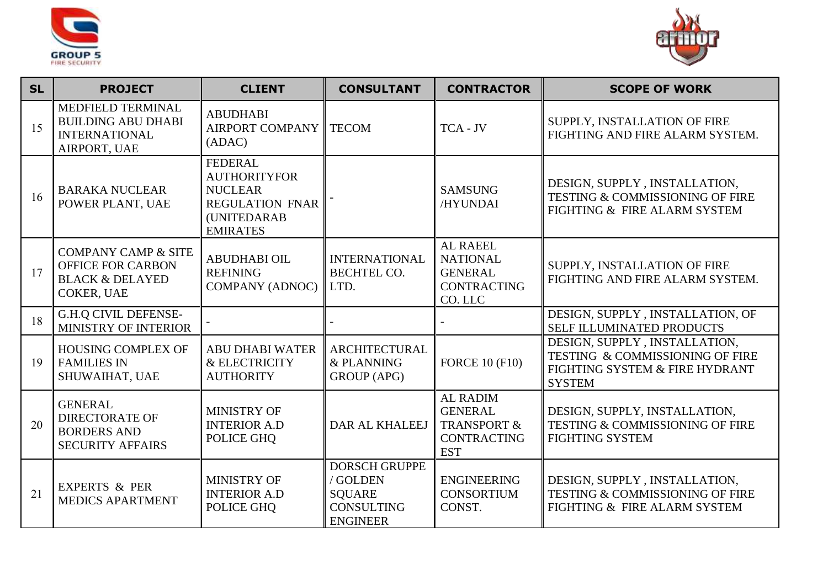



| <b>SL</b> | <b>PROJECT</b>                                                                                         | <b>CLIENT</b>                                                                                                       | <b>CONSULTANT</b>                                                                         | <b>CONTRACTOR</b>                                                                               | <b>SCOPE OF WORK</b>                                                                                                |
|-----------|--------------------------------------------------------------------------------------------------------|---------------------------------------------------------------------------------------------------------------------|-------------------------------------------------------------------------------------------|-------------------------------------------------------------------------------------------------|---------------------------------------------------------------------------------------------------------------------|
| 15        | MEDFIELD TERMINAL<br><b>BUILDING ABU DHABI</b><br><b>INTERNATIONAL</b><br>AIRPORT, UAE                 | <b>ABUDHABI</b><br>AIRPORT COMPANY<br>(ADAC)                                                                        | <b>TECOM</b>                                                                              | TCA - JV                                                                                        | SUPPLY, INSTALLATION OF FIRE<br>FIGHTING AND FIRE ALARM SYSTEM.                                                     |
| 16        | <b>BARAKA NUCLEAR</b><br>POWER PLANT, UAE                                                              | <b>FEDERAL</b><br><b>AUTHORITYFOR</b><br><b>NUCLEAR</b><br><b>REGULATION FNAR</b><br>(UNITEDARAB<br><b>EMIRATES</b> |                                                                                           | <b>SAMSUNG</b><br>/HYUNDAI                                                                      | DESIGN, SUPPLY, INSTALLATION,<br>TESTING & COMMISSIONING OF FIRE<br>FIGHTING & FIRE ALARM SYSTEM                    |
| 17        | <b>COMPANY CAMP &amp; SITE</b><br><b>OFFICE FOR CARBON</b><br><b>BLACK &amp; DELAYED</b><br>COKER, UAE | <b>ABUDHABI OIL</b><br><b>REFINING</b><br><b>COMPANY (ADNOC)</b>                                                    | <b>INTERNATIONAL</b><br><b>BECHTEL CO.</b><br>LTD.                                        | <b>AL RAEEL</b><br><b>NATIONAL</b><br><b>GENERAL</b><br><b>CONTRACTING</b><br>CO. LLC           | SUPPLY, INSTALLATION OF FIRE<br>FIGHTING AND FIRE ALARM SYSTEM.                                                     |
| 18        | <b>G.H.Q CIVIL DEFENSE-</b><br>MINISTRY OF INTERIOR                                                    |                                                                                                                     |                                                                                           |                                                                                                 | DESIGN, SUPPLY, INSTALLATION, OF<br>SELF ILLUMINATED PRODUCTS                                                       |
| 19        | <b>HOUSING COMPLEX OF</b><br><b>FAMILIES IN</b><br>SHUWAIHAT, UAE                                      | <b>ABU DHABI WATER</b><br>& ELECTRICITY<br><b>AUTHORITY</b>                                                         | <b>ARCHITECTURAL</b><br>& PLANNING<br><b>GROUP</b> (APG)                                  | <b>FORCE 10 (F10)</b>                                                                           | DESIGN, SUPPLY, INSTALLATION,<br>TESTING & COMMISSIONING OF FIRE<br>FIGHTING SYSTEM & FIRE HYDRANT<br><b>SYSTEM</b> |
| 20        | <b>GENERAL</b><br><b>DIRECTORATE OF</b><br><b>BORDERS AND</b><br><b>SECURITY AFFAIRS</b>               | <b>MINISTRY OF</b><br><b>INTERIOR A.D</b><br>POLICE GHQ                                                             | DAR AL KHALEEJ                                                                            | <b>AL RADIM</b><br><b>GENERAL</b><br><b>TRANSPORT &amp;</b><br><b>CONTRACTING</b><br><b>EST</b> | DESIGN, SUPPLY, INSTALLATION,<br>TESTING & COMMISSIONING OF FIRE<br><b>FIGHTING SYSTEM</b>                          |
| 21        | <b>EXPERTS &amp; PER</b><br><b>MEDICS APARTMENT</b>                                                    | MINISTRY OF<br><b>INTERIOR A.D</b><br>POLICE GHQ                                                                    | <b>DORSCH GRUPPE</b><br>/ GOLDEN<br><b>SOUARE</b><br><b>CONSULTING</b><br><b>ENGINEER</b> | <b>ENGINEERING</b><br><b>CONSORTIUM</b><br>CONST.                                               | DESIGN, SUPPLY, INSTALLATION,<br><b>TESTING &amp; COMMISSIONING OF FIRE</b><br>FIGHTING & FIRE ALARM SYSTEM         |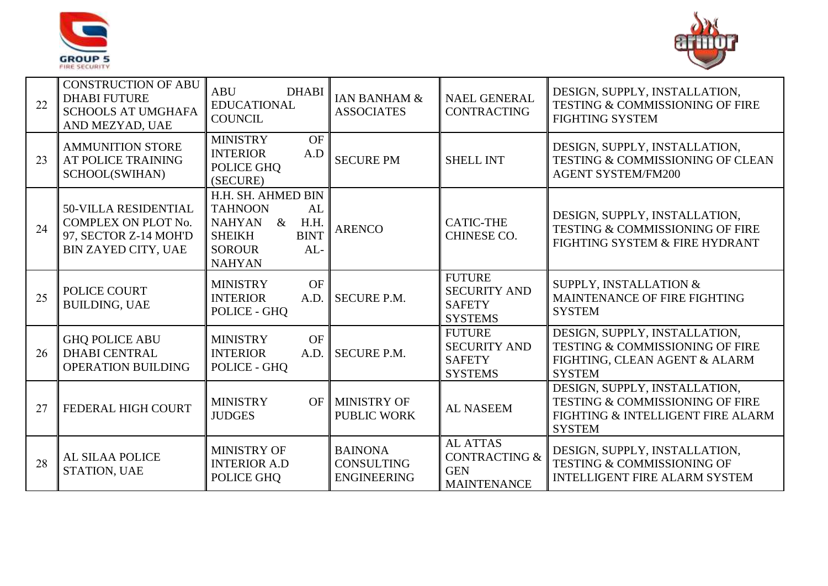



| 22 | <b>CONSTRUCTION OF ABU</b><br><b>DHABI FUTURE</b><br><b>SCHOOLS AT UMGHAFA</b><br>AND MEZYAD, UAE  | <b>ABU</b><br><b>DHABI</b><br><b>EDUCATIONAL</b><br><b>COUNCIL</b>                                                                                   | <b>IAN BANHAM &amp;</b><br><b>ASSOCIATES</b>              | <b>NAEL GENERAL</b><br><b>CONTRACTING</b>                                       | DESIGN, SUPPLY, INSTALLATION,<br>TESTING & COMMISSIONING OF FIRE<br><b>FIGHTING SYSTEM</b>                                    |
|----|----------------------------------------------------------------------------------------------------|------------------------------------------------------------------------------------------------------------------------------------------------------|-----------------------------------------------------------|---------------------------------------------------------------------------------|-------------------------------------------------------------------------------------------------------------------------------|
| 23 | <b>AMMUNITION STORE</b><br>AT POLICE TRAINING<br>SCHOOL(SWIHAN)                                    | OF<br><b>MINISTRY</b><br><b>INTERIOR</b><br>A.D<br>POLICE GHQ<br>(SECURE)                                                                            | <b>SECURE PM</b>                                          | <b>SHELL INT</b>                                                                | DESIGN, SUPPLY, INSTALLATION,<br>TESTING & COMMISSIONING OF CLEAN<br><b>AGENT SYSTEM/FM200</b>                                |
| 24 | <b>50-VILLA RESIDENTIAL</b><br>COMPLEX ON PLOT No.<br>97, SECTOR Z-14 MOH'D<br>BIN ZAYED CITY, UAE | H.H. SH. AHMED BIN<br><b>TAHNOON</b><br>AL<br><b>NAHYAN</b><br>$\&$<br>H.H.<br><b>BINT</b><br><b>SHEIKH</b><br><b>SOROUR</b><br>AL-<br><b>NAHYAN</b> | <b>ARENCO</b>                                             | <b>CATIC-THE</b><br>CHINESE CO.                                                 | DESIGN, SUPPLY, INSTALLATION,<br>TESTING & COMMISSIONING OF FIRE<br>FIGHTING SYSTEM & FIRE HYDRANT                            |
| 25 | POLICE COURT<br><b>BUILDING, UAE</b>                                                               | <b>OF</b><br><b>MINISTRY</b><br>A.D.<br><b>INTERIOR</b><br>POLICE - GHQ                                                                              | <b>SECURE P.M.</b>                                        | <b>FUTURE</b><br><b>SECURITY AND</b><br><b>SAFETY</b><br><b>SYSTEMS</b>         | SUPPLY, INSTALLATION &<br>MAINTENANCE OF FIRE FIGHTING<br><b>SYSTEM</b>                                                       |
| 26 | <b>GHQ POLICE ABU</b><br><b>DHABI CENTRAL</b><br><b>OPERATION BUILDING</b>                         | <b>OF</b><br><b>MINISTRY</b><br><b>INTERIOR</b><br>A.D.<br>POLICE - GHQ                                                                              | <b>SECURE P.M.</b>                                        | <b>FUTURE</b><br><b>SECURITY AND</b><br><b>SAFETY</b><br><b>SYSTEMS</b>         | DESIGN, SUPPLY, INSTALLATION,<br><b>TESTING &amp; COMMISSIONING OF FIRE</b><br>FIGHTING, CLEAN AGENT & ALARM<br><b>SYSTEM</b> |
| 27 | FEDERAL HIGH COURT                                                                                 | <b>MINISTRY</b><br><b>JUDGES</b>                                                                                                                     | OF MINISTRY OF<br><b>PUBLIC WORK</b>                      | <b>AL NASEEM</b>                                                                | DESIGN, SUPPLY, INSTALLATION,<br>TESTING & COMMISSIONING OF FIRE<br>FIGHTING & INTELLIGENT FIRE ALARM<br><b>SYSTEM</b>        |
| 28 | AL SILAA POLICE<br><b>STATION, UAE</b>                                                             | MINISTRY OF<br><b>INTERIOR A.D</b><br>POLICE GHQ                                                                                                     | <b>BAINONA</b><br><b>CONSULTING</b><br><b>ENGINEERING</b> | <b>AL ATTAS</b><br><b>CONTRACTING &amp;</b><br><b>GEN</b><br><b>MAINTENANCE</b> | DESIGN, SUPPLY, INSTALLATION,<br>TESTING & COMMISSIONING OF<br><b>INTELLIGENT FIRE ALARM SYSTEM</b>                           |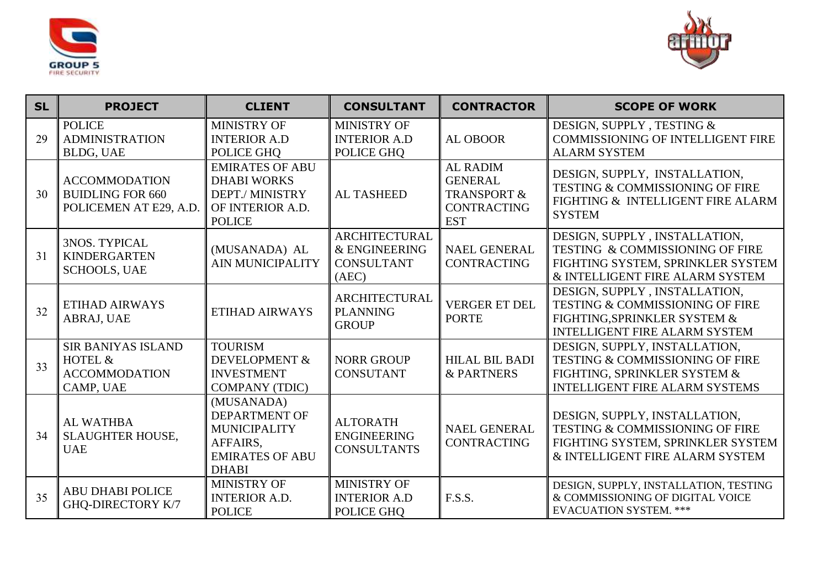



| <b>SL</b> | <b>PROJECT</b>                                                            | <b>CLIENT</b>                                                                                                   | <b>CONSULTANT</b>                                                   | <b>CONTRACTOR</b>                                                                               | <b>SCOPE OF WORK</b>                                                                                                                                |
|-----------|---------------------------------------------------------------------------|-----------------------------------------------------------------------------------------------------------------|---------------------------------------------------------------------|-------------------------------------------------------------------------------------------------|-----------------------------------------------------------------------------------------------------------------------------------------------------|
| 29        | <b>POLICE</b><br><b>ADMINISTRATION</b><br><b>BLDG, UAE</b>                | MINISTRY OF<br><b>INTERIOR A.D</b><br>POLICE GHQ                                                                | <b>MINISTRY OF</b><br><b>INTERIOR A.D</b><br>POLICE GHQ             | <b>AL OBOOR</b>                                                                                 | DESIGN, SUPPLY, TESTING &<br><b>COMMISSIONING OF INTELLIGENT FIRE</b><br><b>ALARM SYSTEM</b>                                                        |
| 30        | <b>ACCOMMODATION</b><br><b>BUIDLING FOR 660</b><br>POLICEMEN AT E29, A.D. | <b>EMIRATES OF ABU</b><br><b>DHABI WORKS</b><br>DEPT./ MINISTRY<br>OF INTERIOR A.D.<br><b>POLICE</b>            | <b>AL TASHEED</b>                                                   | <b>AL RADIM</b><br><b>GENERAL</b><br><b>TRANSPORT &amp;</b><br><b>CONTRACTING</b><br><b>EST</b> | DESIGN, SUPPLY, INSTALLATION,<br><b>TESTING &amp; COMMISSIONING OF FIRE</b><br>FIGHTING & INTELLIGENT FIRE ALARM<br><b>SYSTEM</b>                   |
| 31        | <b>3NOS. TYPICAL</b><br><b>KINDERGARTEN</b><br><b>SCHOOLS, UAE</b>        | (MUSANADA) AL<br><b>AIN MUNICIPALITY</b>                                                                        | <b>ARCHITECTURAL</b><br>& ENGINEERING<br><b>CONSULTANT</b><br>(AEC) | <b>NAEL GENERAL</b><br><b>CONTRACTING</b>                                                       | DESIGN, SUPPLY, INSTALLATION,<br>TESTING & COMMISSIONING OF FIRE<br>FIGHTING SYSTEM, SPRINKLER SYSTEM<br>& INTELLIGENT FIRE ALARM SYSTEM            |
| 32        | ETIHAD AIRWAYS<br>ABRAJ, UAE                                              | ETIHAD AIRWAYS                                                                                                  | <b>ARCHITECTURAL</b><br><b>PLANNING</b><br><b>GROUP</b>             | <b>VERGER ET DEL</b><br><b>PORTE</b>                                                            | DESIGN, SUPPLY, INSTALLATION,<br><b>TESTING &amp; COMMISSIONING OF FIRE</b><br>FIGHTING, SPRINKLER SYSTEM &<br><b>INTELLIGENT FIRE ALARM SYSTEM</b> |
| 33        | <b>SIR BANIYAS ISLAND</b><br>HOTEL &<br><b>ACCOMMODATION</b><br>CAMP, UAE | <b>TOURISM</b><br><b>DEVELOPMENT &amp;</b><br><b>INVESTMENT</b><br><b>COMPANY (TDIC)</b>                        | <b>NORR GROUP</b><br><b>CONSUTANT</b>                               | <b>HILAL BIL BADI</b><br><b>&amp; PARTNERS</b>                                                  | DESIGN, SUPPLY, INSTALLATION,<br>TESTING & COMMISSIONING OF FIRE<br>FIGHTING, SPRINKLER SYSTEM &<br><b>INTELLIGENT FIRE ALARM SYSTEMS</b>           |
| 34        | <b>AL WATHBA</b><br><b>SLAUGHTER HOUSE,</b><br><b>UAE</b>                 | (MUSANADA)<br><b>DEPARTMENT OF</b><br><b>MUNICIPALITY</b><br>AFFAIRS.<br><b>EMIRATES OF ABU</b><br><b>DHABI</b> | <b>ALTORATH</b><br><b>ENGINEERING</b><br><b>CONSULTANTS</b>         | <b>NAEL GENERAL</b><br><b>CONTRACTING</b>                                                       | DESIGN, SUPPLY, INSTALLATION,<br>TESTING & COMMISSIONING OF FIRE<br>FIGHTING SYSTEM, SPRINKLER SYSTEM<br>& INTELLIGENT FIRE ALARM SYSTEM            |
| 35        | <b>ABU DHABI POLICE</b><br><b>GHQ-DIRECTORY K/7</b>                       | MINISTRY OF<br><b>INTERIOR A.D.</b><br><b>POLICE</b>                                                            | MINISTRY OF<br><b>INTERIOR A.D</b><br>POLICE GHQ                    | F.S.S.                                                                                          | DESIGN, SUPPLY, INSTALLATION, TESTING<br>& COMMISSIONING OF DIGITAL VOICE<br><b>EVACUATION SYSTEM. ***</b>                                          |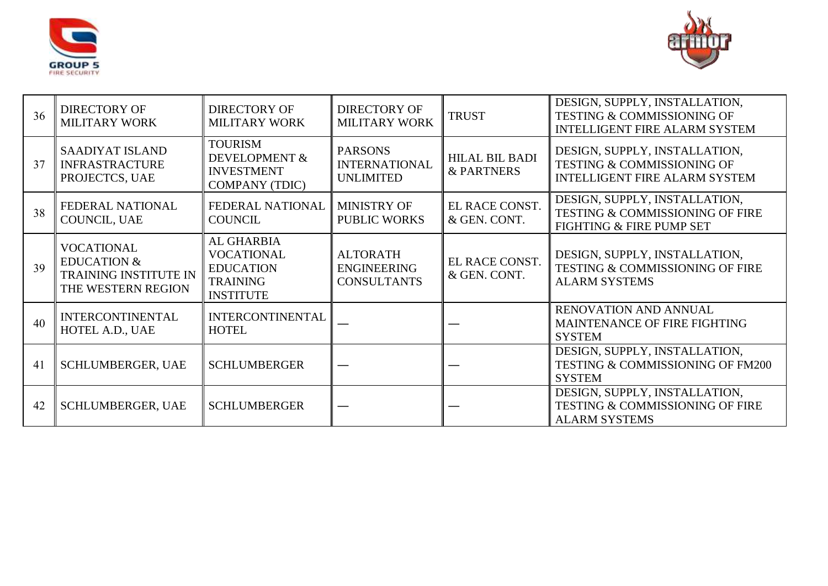



| 36 | <b>DIRECTORY OF</b><br><b>MILITARY WORK</b>                                                | <b>DIRECTORY OF</b><br><b>MILITARY WORK</b>                                                | <b>DIRECTORY OF</b><br><b>MILITARY WORK</b>                 | <b>TRUST</b>                                   | DESIGN, SUPPLY, INSTALLATION,<br>TESTING & COMMISSIONING OF<br><b>INTELLIGENT FIRE ALARM SYSTEM</b> |
|----|--------------------------------------------------------------------------------------------|--------------------------------------------------------------------------------------------|-------------------------------------------------------------|------------------------------------------------|-----------------------------------------------------------------------------------------------------|
| 37 | <b>SAADIYAT ISLAND</b><br><b>INFRASTRACTURE</b><br>PROJECTCS, UAE                          | <b>TOURISM</b><br>DEVELOPMENT &<br><b>INVESTMENT</b><br><b>COMPANY (TDIC)</b>              | <b>PARSONS</b><br><b>INTERNATIONAL</b><br><b>UNLIMITED</b>  | <b>HILAL BIL BADI</b><br><b>&amp; PARTNERS</b> | DESIGN, SUPPLY, INSTALLATION,<br>TESTING & COMMISSIONING OF<br><b>INTELLIGENT FIRE ALARM SYSTEM</b> |
| 38 | FEDERAL NATIONAL<br>COUNCIL, UAE                                                           | FEDERAL NATIONAL<br><b>COUNCIL</b>                                                         | <b>MINISTRY OF</b><br><b>PUBLIC WORKS</b>                   | EL RACE CONST.<br>& GEN. CONT.                 | DESIGN, SUPPLY, INSTALLATION,<br>TESTING & COMMISSIONING OF FIRE<br>FIGHTING & FIRE PUMP SET        |
| 39 | <b>VOCATIONAL</b><br><b>EDUCATION &amp;</b><br>TRAINING INSTITUTE IN<br>THE WESTERN REGION | AL GHARBIA<br><b>VOCATIONAL</b><br><b>EDUCATION</b><br><b>TRAINING</b><br><b>INSTITUTE</b> | <b>ALTORATH</b><br><b>ENGINEERING</b><br><b>CONSULTANTS</b> | EL RACE CONST.<br>& GEN. CONT.                 | DESIGN, SUPPLY, INSTALLATION,<br>TESTING & COMMISSIONING OF FIRE<br><b>ALARM SYSTEMS</b>            |
| 40 | <b>INTERCONTINENTAL</b><br>HOTEL A.D., UAE                                                 | <b>INTERCONTINENTAL</b><br><b>HOTEL</b>                                                    |                                                             |                                                | RENOVATION AND ANNUAL<br>MAINTENANCE OF FIRE FIGHTING<br><b>SYSTEM</b>                              |
| 41 | <b>SCHLUMBERGER, UAE</b>                                                                   | <b>SCHLUMBERGER</b>                                                                        |                                                             |                                                | DESIGN, SUPPLY, INSTALLATION,<br><b>TESTING &amp; COMMISSIONING OF FM200</b><br><b>SYSTEM</b>       |
| 42 | <b>SCHLUMBERGER, UAE</b>                                                                   | <b>SCHLUMBERGER</b>                                                                        |                                                             |                                                | DESIGN, SUPPLY, INSTALLATION,<br>TESTING & COMMISSIONING OF FIRE<br><b>ALARM SYSTEMS</b>            |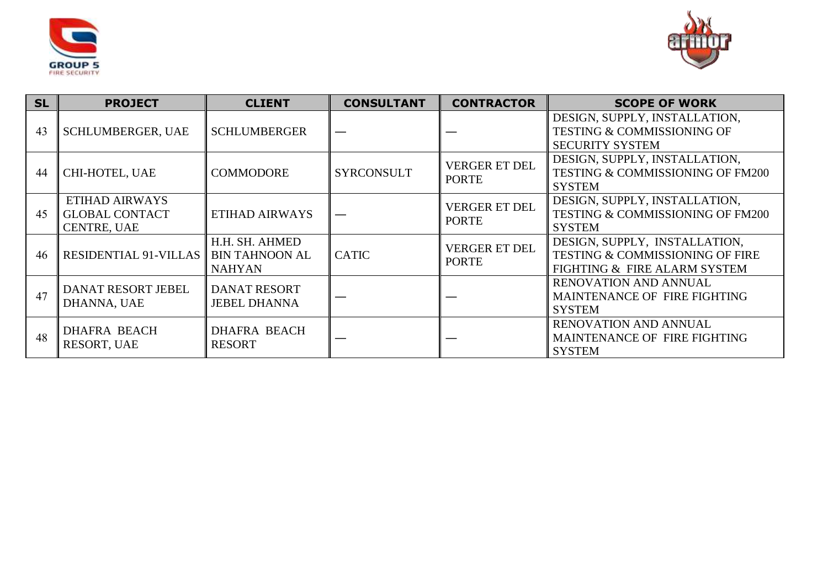



| <b>SL</b> | <b>PROJECT</b>                                                | <b>CLIENT</b>                                            | <b>CONSULTANT</b> | <b>CONTRACTOR</b>                    | <b>SCOPE OF WORK</b>                                                                                        |
|-----------|---------------------------------------------------------------|----------------------------------------------------------|-------------------|--------------------------------------|-------------------------------------------------------------------------------------------------------------|
| 43        | <b>SCHLUMBERGER, UAE</b>                                      | <b>SCHLUMBERGER</b>                                      |                   |                                      | DESIGN, SUPPLY, INSTALLATION,<br><b>TESTING &amp; COMMISSIONING OF</b><br><b>SECURITY SYSTEM</b>            |
| 44        | CHI-HOTEL, UAE                                                | <b>COMMODORE</b>                                         | <b>SYRCONSULT</b> | <b>VERGER ET DEL</b><br><b>PORTE</b> | DESIGN, SUPPLY, INSTALLATION,<br><b>TESTING &amp; COMMISSIONING OF FM200</b><br><b>SYSTEM</b>               |
| 45        | ETIHAD AIRWAYS<br><b>GLOBAL CONTACT</b><br><b>CENTRE, UAE</b> | ETIHAD AIRWAYS                                           |                   | <b>VERGER ET DEL</b><br><b>PORTE</b> | DESIGN, SUPPLY, INSTALLATION,<br><b>TESTING &amp; COMMISSIONING OF FM200</b><br><b>SYSTEM</b>               |
| 46        | RESIDENTIAL 91-VILLAS                                         | H.H. SH. AHMED<br><b>BIN TAHNOON AL</b><br><b>NAHYAN</b> | <b>CATIC</b>      | <b>VERGER ET DEL</b><br><b>PORTE</b> | DESIGN, SUPPLY, INSTALLATION,<br><b>TESTING &amp; COMMISSIONING OF FIRE</b><br>FIGHTING & FIRE ALARM SYSTEM |
| 47        | <b>DANAT RESORT JEBEL</b><br>DHANNA, UAE                      | <b>DANAT RESORT</b><br><b>JEBEL DHANNA</b>               |                   |                                      | <b>RENOVATION AND ANNUAL</b><br>MAINTENANCE OF FIRE FIGHTING<br><b>SYSTEM</b>                               |
| 48        | <b>DHAFRA BEACH</b><br>RESORT, UAE                            | <b>DHAFRA BEACH</b><br><b>RESORT</b>                     |                   |                                      | RENOVATION AND ANNUAL<br>MAINTENANCE OF FIRE FIGHTING<br><b>SYSTEM</b>                                      |